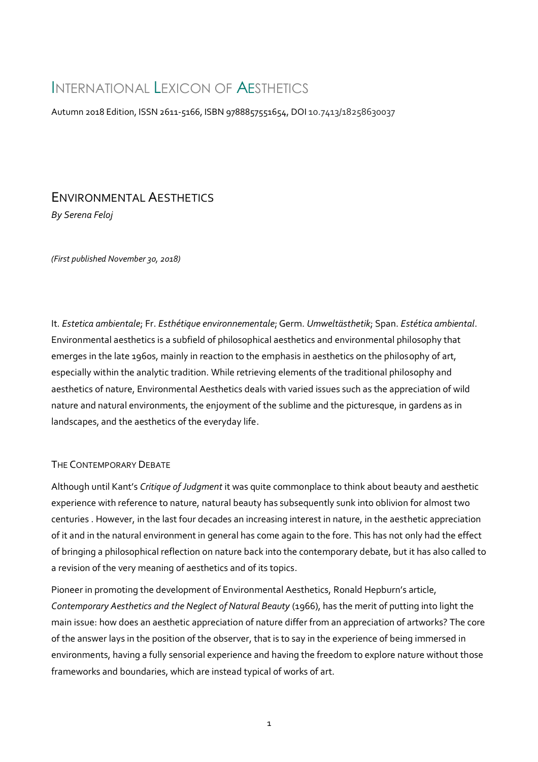# INTERNATIONAL LEXICON OF AESTHETICS

Autumn 2018 Edition, ISSN 2611-5166, ISBN 9788857551654, DOI 10.7413/18258630037

# ENVIRONMENTAL AESTHETICS *By Serena Feloj*

*(First published November 30, 2018)*

It. *Estetica ambientale*; Fr. *Esthétique environnementale*; Germ. *Umweltästhetik*; Span. *Estética ambiental*. Environmental aesthetics is a subfield of philosophical aesthetics and environmental philosophy that emerges in the late 1960s, mainly in reaction to the emphasis in aesthetics on the philosophy of art, especially within the analytic tradition. While retrieving elements of the traditional philosophy and aesthetics of nature, Environmental Aesthetics deals with varied issues such as the appreciation of wild nature and natural environments, the enjoyment of the sublime and the picturesque, in gardens as in landscapes, and the aesthetics of the everyday life.

## THE CONTEMPORARY DEBATE

Although until Kant's *Critique of Judgment* it was quite commonplace to think about beauty and aesthetic experience with reference to nature, natural beauty has subsequently sunk into oblivion for almost two centuries . However, in the last four decades an increasing interest in nature, in the aesthetic appreciation of it and in the natural environment in general has come again to the fore. This has not only had the effect of bringing a philosophical reflection on nature back into the contemporary debate, but it has also called to a revision of the very meaning of aesthetics and of its topics.

Pioneer in promoting the development of Environmental Aesthetics, Ronald Hepburn's article, *Contemporary Aesthetics and the Neglect of Natural Beauty* (1966), has the merit of putting into light the main issue: how does an aesthetic appreciation of nature differ from an appreciation of artworks? The core of the answer lays in the position of the observer, that is to say in the experience of being immersed in environments, having a fully sensorial experience and having the freedom to explore nature without those frameworks and boundaries, which are instead typical of works of art.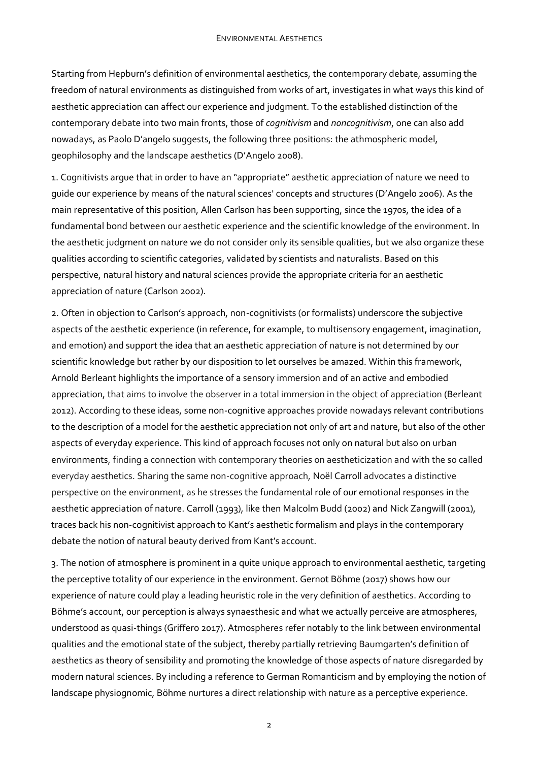Starting from Hepburn's definition of environmental aesthetics, the contemporary debate, assuming the freedom of natural environments as distinguished from works of art, investigates in what ways this kind of aesthetic appreciation can affect our experience and judgment. To the established distinction of the contemporary debate into two main fronts, those of *cognitivism* and *noncognitivism*, one can also add nowadays, as Paolo D'angelo suggests, the following three positions: the athmospheric model, geophilosophy and the landscape aesthetics (D'Angelo 2008).

1. Cognitivists argue that in order to have an "appropriate" aesthetic appreciation of nature we need to guide our experience by means of the natural sciences' concepts and structures (D'Angelo 2006). As the main representative of this position, Allen Carlson has been supporting, since the 1970s, the idea of a fundamental bond between our aesthetic experience and the scientific knowledge of the environment. In the aesthetic judgment on nature we do not consider only its sensible qualities, but we also organize these qualities according to scientific categories, validated by scientists and naturalists. Based on this perspective, natural history and natural sciences provide the appropriate criteria for an aesthetic appreciation of nature (Carlson 2002).

2. Often in objection to Carlson's approach, non-cognitivists (or formalists) underscore the subjective aspects of the aesthetic experience (in reference, for example, to multisensory engagement, imagination, and emotion) and support the idea that an aesthetic appreciation of nature is not determined by our scientific knowledge but rather by our disposition to let ourselves be amazed. Within this framework, Arnold Berleant highlights the importance of a sensory immersion and of an active and embodied appreciation, that aims to involve the observer in a total immersion in the object of appreciation (Berleant 2012). According to these ideas, some non-cognitive approaches provide nowadays relevant contributions to the description of a model for the aesthetic appreciation not only of art and nature, but also of the other aspects of everyday experience. This kind of approach focuses not only on natural but also on urban environments, finding a connection with contemporary theories on aestheticization and with the so called everyday aesthetics. Sharing the same non-cognitive approach, Noël Carroll advocates a distinctive perspective on the environment, as he stresses the fundamental role of our emotional responses in the aesthetic appreciation of nature. Carroll (1993), like then Malcolm Budd (2002) and Nick Zangwill (2001), traces back his non-cognitivist approach to Kant's aesthetic formalism and plays in the contemporary debate the notion of natural beauty derived from Kant's account.

3. The notion of atmosphere is prominent in a quite unique approach to environmental aesthetic, targeting the perceptive totality of our experience in the environment. Gernot Böhme (2017) shows how our experience of nature could play a leading heuristic role in the very definition of aesthetics. According to Böhme's account, our perception is always synaesthesic and what we actually perceive are atmospheres, understood as quasi-things (Griffero 2017). Atmospheres refer notably to the link between environmental qualities and the emotional state of the subject, thereby partially retrieving Baumgarten's definition of aesthetics as theory of sensibility and promoting the knowledge of those aspects of nature disregarded by modern natural sciences. By including a reference to German Romanticism and by employing the notion of landscape physiognomic, Böhme nurtures a direct relationship with nature as a perceptive experience.

 $\overline{2}$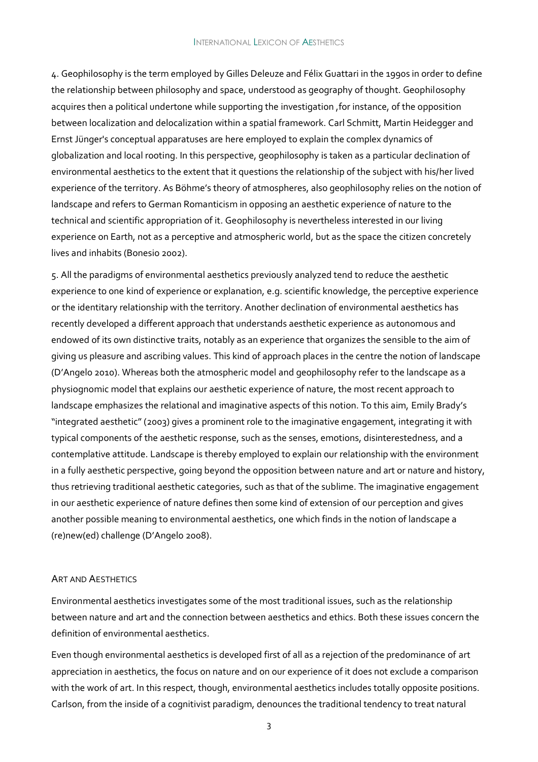#### INTERNATIONAL LEXICON OF AESTHETICS

4. Geophilosophy is the term employed by Gilles Deleuze and Félix Guattari in the 1990s in order to define the relationship between philosophy and space, understood as geography of thought. Geophilosophy acquires then a political undertone while supporting the investigation ,for instance, of the opposition between localization and delocalization within a spatial framework. Carl Schmitt, Martin Heidegger and Ernst Jünger's conceptual apparatuses are here employed to explain the complex dynamics of globalization and local rooting. In this perspective, geophilosophy is taken as a particular declination of environmental aesthetics to the extent that it questions the relationship of the subject with his/her lived experience of the territory. As Böhme's theory of atmospheres, also geophilosophy relies on the notion of landscape and refers to German Romanticism in opposing an aesthetic experience of nature to the technical and scientific appropriation of it. Geophilosophy is nevertheless interested in our living experience on Earth, not as a perceptive and atmospheric world, but as the space the citizen concretely lives and inhabits (Bonesio 2002).

5. All the paradigms of environmental aesthetics previously analyzed tend to reduce the aesthetic experience to one kind of experience or explanation, e.g. scientific knowledge, the perceptive experience or the identitary relationship with the territory. Another declination of environmental aesthetics has recently developed a different approach that understands aesthetic experience as autonomous and endowed of its own distinctive traits, notably as an experience that organizes the sensible to the aim of giving us pleasure and ascribing values. This kind of approach places in the centre the notion of landscape (D'Angelo 2010). Whereas both the atmospheric model and geophilosophy refer to the landscape as a physiognomic model that explains our aesthetic experience of nature, the most recent approach to landscape emphasizes the relational and imaginative aspects of this notion. To this aim, Emily Brady's "integrated aesthetic" (2003) gives a prominent role to the imaginative engagement, integrating it with typical components of the aesthetic response, such as the senses, emotions, disinterestedness, and a contemplative attitude. Landscape is thereby employed to explain our relationship with the environment in a fully aesthetic perspective, going beyond the opposition between nature and art or nature and history, thus retrieving traditional aesthetic categories, such as that of the sublime. The imaginative engagement in our aesthetic experience of nature defines then some kind of extension of our perception and gives another possible meaning to environmental aesthetics, one which finds in the notion of landscape a (re)new(ed) challenge (D'Angelo 2008).

#### ART AND AESTHETICS

Environmental aesthetics investigates some of the most traditional issues, such as the relationship between nature and art and the connection between aesthetics and ethics. Both these issues concern the definition of environmental aesthetics.

Even though environmental aesthetics is developed first of all as a rejection of the predominance of art appreciation in aesthetics, the focus on nature and on our experience of it does not exclude a comparison with the work of art. In this respect, though, environmental aesthetics includes totally opposite positions. Carlson, from the inside of a cognitivist paradigm, denounces the traditional tendency to treat natural

3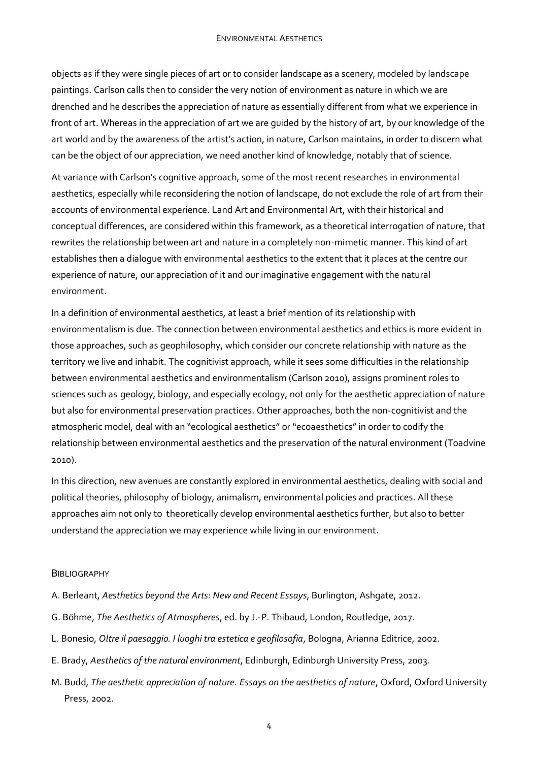objects as if they were single pieces of art or to consider landscape as a scenery, modeled by landscape paintings. Carlson calls then to consider the very notion of environment as nature in which we are drenched and he describes the appreciation of nature as essentially different from what we experience in front of art. Whereas in the appreciation of art we are guided by the history of art, by our knowledge of the art world and by the awareness of the artist's action, in nature, Carlson maintains, in order to discern what can be the object of our appreciation, we need another kind of knowledge, notably that of science.

At variance with Carlson's cognitive approach, some of the most recent researches in environmental aesthetics, especially while reconsidering the notion of landscape, do not exclude the role of art from their accounts of environmental experience. Land Art and Environmental Art, with their historical and conceptual differences, are considered within this framework, as a theoretical interrogation of nature, that rewrites the relationship between art and nature in a completely non-mimetic manner. This kind of art establishes then a dialogue with environmental aesthetics to the extent that it places at the centre our experience of nature, our appreciation of it and our imaginative engagement with the natural environment.

In a definition of environmental aesthetics, at least a brief mention of its relationship with environmentalism is due. The connection between environmental aesthetics and ethics is more evident in those approaches, such as geophilosophy, which consider our concrete relationship with nature as the territory we live and inhabit. The cognitivist approach, while it sees some difficulties in the relationship between environmental aesthetics and environmentalism (Carlson 2010), assigns prominent roles to sciences such as geology, biology, and especially ecology, not only for the aesthetic appreciation of nature but also for environmental preservation practices. Other approaches, both the non-cognitivist and the atmospheric model, deal with an "ecological aesthetics" or "ecoaesthetics" in order to codify the relationship between environmental aesthetics and the preservation of the natural environment (Toadvine 2010).

In this direction, new avenues are constantly explored in environmental aesthetics, dealing with social and political theories, philosophy of biology, animalism, environmental policies and practices. All these approaches aim not only to theoretically develop environmental aesthetics further, but also to better understand the appreciation we may experience while living in our environment.

#### **BIBLIOGRAPHY**

- A. Berleant, *Aesthetics beyond the Arts: New and Recent Essays*, Burlington, Ashgate, 2012.
- G. Böhme, *The Aesthetics of Atmospheres*, ed. by J.-P. Thibaud, London, Routledge, 2017.
- L. Bonesio, *Oltre il paesaggio. I luoghi tra estetica e geofilosofia*, Bologna, Arianna Editrice, 2002.
- E. Brady, *Aesthetics of the natural environment*, Edinburgh, Edinburgh University Press, 2003.
- M. Budd, *The aesthetic appreciation of nature. Essays on the aesthetics of nature*, Oxford, Oxford University Press, 2002.

4